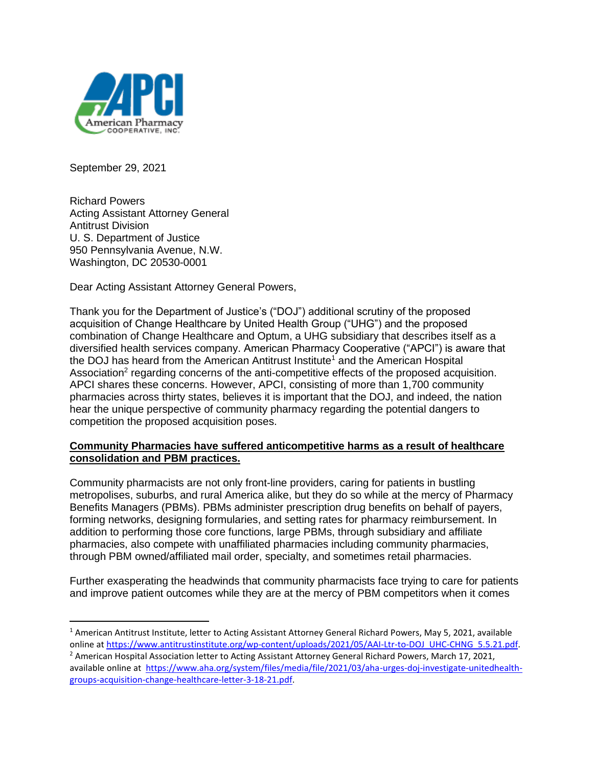

September 29, 2021

Richard Powers Acting Assistant Attorney General Antitrust Division U. S. Department of Justice 950 Pennsylvania Avenue, N.W. Washington, DC 20530-0001

Dear Acting Assistant Attorney General Powers,

Thank you for the Department of Justice's ("DOJ") additional scrutiny of the proposed acquisition of Change Healthcare by United Health Group ("UHG") and the proposed combination of Change Healthcare and Optum, a UHG subsidiary that describes itself as a diversified health services company. American Pharmacy Cooperative ("APCI") is aware that the DOJ has heard from the American Antitrust Institute<sup>1</sup> and the American Hospital Association<sup>2</sup> regarding concerns of the anti-competitive effects of the proposed acquisition. APCI shares these concerns. However, APCI, consisting of more than 1,700 community pharmacies across thirty states, believes it is important that the DOJ, and indeed, the nation hear the unique perspective of community pharmacy regarding the potential dangers to competition the proposed acquisition poses.

### **Community Pharmacies have suffered anticompetitive harms as a result of healthcare consolidation and PBM practices.**

Community pharmacists are not only front-line providers, caring for patients in bustling metropolises, suburbs, and rural America alike, but they do so while at the mercy of Pharmacy Benefits Managers (PBMs). PBMs administer prescription drug benefits on behalf of payers, forming networks, designing formularies, and setting rates for pharmacy reimbursement. In addition to performing those core functions, large PBMs, through subsidiary and affiliate pharmacies, also compete with unaffiliated pharmacies including community pharmacies, through PBM owned/affiliated mail order, specialty, and sometimes retail pharmacies.

Further exasperating the headwinds that community pharmacists face trying to care for patients and improve patient outcomes while they are at the mercy of PBM competitors when it comes

<sup>&</sup>lt;sup>1</sup> American Antitrust Institute, letter to Acting Assistant Attorney General Richard Powers, May 5, 2021, available online at [https://www.antitrustinstitute.org/wp-content/uploads/2021/05/AAI-Ltr-to-DOJ\\_UHC-CHNG\\_5.5.21.pdf.](https://www.antitrustinstitute.org/wp-content/uploads/2021/05/AAI-Ltr-to-DOJ_UHC-CHNG_5.5.21.pdf)

 $<sup>2</sup>$  American Hospital Association letter to Acting Assistant Attorney General Richard Powers, March 17, 2021,</sup> available online at [https://www.aha.org/system/files/media/file/2021/03/aha-urges-doj-investigate-unitedhealth](https://www.aha.org/system/files/media/file/2021/03/aha-urges-doj-investigate-unitedhealth-groups-acquisition-change-healthcare-letter-3-18-21.pdf)[groups-acquisition-change-healthcare-letter-3-18-21.pdf.](https://www.aha.org/system/files/media/file/2021/03/aha-urges-doj-investigate-unitedhealth-groups-acquisition-change-healthcare-letter-3-18-21.pdf)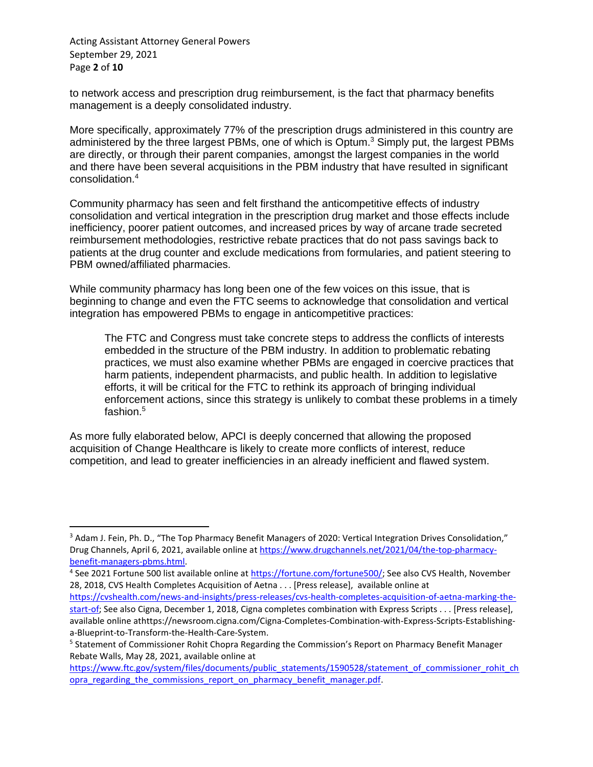Acting Assistant Attorney General Powers September 29, 2021 Page **2** of **10**

to network access and prescription drug reimbursement, is the fact that pharmacy benefits management is a deeply consolidated industry.

More specifically, approximately 77% of the prescription drugs administered in this country are administered by the three largest PBMs, one of which is Optum.<sup>3</sup> Simply put, the largest PBMs are directly, or through their parent companies, amongst the largest companies in the world and there have been several acquisitions in the PBM industry that have resulted in significant consolidation.<sup>4</sup>

Community pharmacy has seen and felt firsthand the anticompetitive effects of industry consolidation and vertical integration in the prescription drug market and those effects include inefficiency, poorer patient outcomes, and increased prices by way of arcane trade secreted reimbursement methodologies, restrictive rebate practices that do not pass savings back to patients at the drug counter and exclude medications from formularies, and patient steering to PBM owned/affiliated pharmacies.

While community pharmacy has long been one of the few voices on this issue, that is beginning to change and even the FTC seems to acknowledge that consolidation and vertical integration has empowered PBMs to engage in anticompetitive practices:

The FTC and Congress must take concrete steps to address the conflicts of interests embedded in the structure of the PBM industry. In addition to problematic rebating practices, we must also examine whether PBMs are engaged in coercive practices that harm patients, independent pharmacists, and public health. In addition to legislative efforts, it will be critical for the FTC to rethink its approach of bringing individual enforcement actions, since this strategy is unlikely to combat these problems in a timely fashion.<sup>5</sup>

As more fully elaborated below, APCI is deeply concerned that allowing the proposed acquisition of Change Healthcare is likely to create more conflicts of interest, reduce competition, and lead to greater inefficiencies in an already inefficient and flawed system.

[https://cvshealth.com/news-and-insights/press-releases/cvs-health-completes-acquisition-of-aetna-marking-the](https://cvshealth.com/news-and-insights/press-releases/cvs-health-completes-acquisition-of-aetna-marking-the-start-of)[start-of;](https://cvshealth.com/news-and-insights/press-releases/cvs-health-completes-acquisition-of-aetna-marking-the-start-of) See also Cigna, December 1, 2018, Cigna completes combination with Express Scripts . . . [Press release], available online athttps://newsroom.cigna.com/Cigna-Completes-Combination-with-Express-Scripts-Establishinga-Blueprint-to-Transform-the-Health-Care-System.

<sup>&</sup>lt;sup>3</sup> Adam J. Fein, Ph. D., "The Top Pharmacy Benefit Managers of 2020: Vertical Integration Drives Consolidation," Drug Channels, April 6, 2021, available online at [https://www.drugchannels.net/2021/04/the-top-pharmacy](https://www.drugchannels.net/2021/04/the-top-pharmacy-benefit-managers-pbms.html)[benefit-managers-pbms.html.](https://www.drugchannels.net/2021/04/the-top-pharmacy-benefit-managers-pbms.html)

<sup>&</sup>lt;sup>4</sup> See 2021 Fortune 500 list available online at *[https://fortune.com/fortune500/;](https://fortune.com/fortune500/)* See also CVS Health, November 28, 2018, CVS Health Completes Acquisition of Aetna . . . [Press release], available online at

<sup>&</sup>lt;sup>5</sup> Statement of Commissioner Rohit Chopra Regarding the Commission's Report on Pharmacy Benefit Manager Rebate Walls, May 28, 2021, available online at

[https://www.ftc.gov/system/files/documents/public\\_statements/1590528/statement\\_of\\_commissioner\\_rohit\\_ch](https://www.ftc.gov/system/files/documents/public_statements/1590528/statement_of_commissioner_rohit_chopra_regarding_the_commissions_report_on_pharmacy_benefit_manager.pdf) opra regarding the commissions report on pharmacy benefit manager.pdf.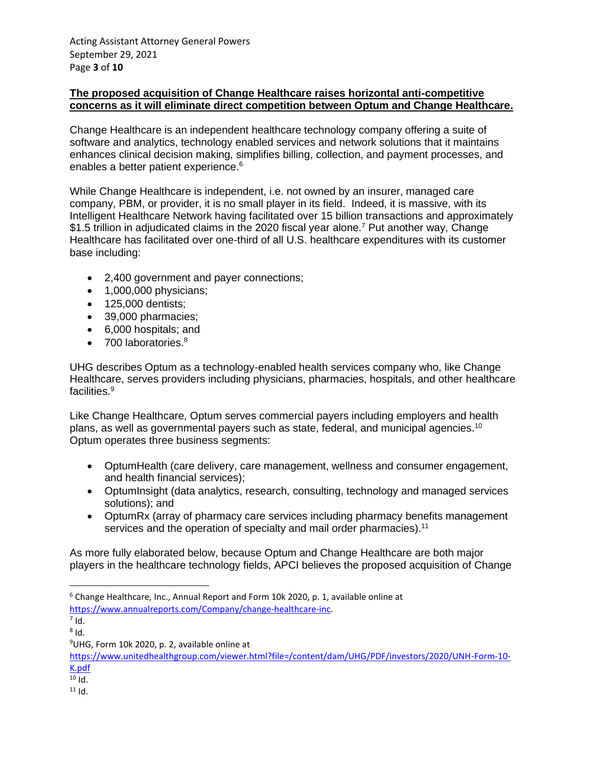### **The proposed acquisition of Change Healthcare raises horizontal anti-competitive concerns as it will eliminate direct competition between Optum and Change Healthcare.**

Change Healthcare is an independent healthcare technology company offering a suite of software and analytics, technology enabled services and network solutions that it maintains enhances clinical decision making, simplifies billing, collection, and payment processes, and enables a better patient experience.<sup>6</sup>

While Change Healthcare is independent, i.e. not owned by an insurer, managed care company, PBM, or provider, it is no small player in its field. Indeed, it is massive, with its Intelligent Healthcare Network having facilitated over 15 billion transactions and approximately \$1.5 trillion in adjudicated claims in the 2020 fiscal year alone.<sup>7</sup> Put another way, Change Healthcare has facilitated over one-third of all U.S. healthcare expenditures with its customer base including:

- 2,400 government and payer connections;
- 1,000,000 physicians;
- 125,000 dentists;
- 39,000 pharmacies;
- 6,000 hospitals; and
- 700 laboratories.<sup>8</sup>

UHG describes Optum as a technology-enabled health services company who, like Change Healthcare, serves providers including physicians, pharmacies, hospitals, and other healthcare facilities.<sup>9</sup>

Like Change Healthcare, Optum serves commercial payers including employers and health plans, as well as governmental payers such as state, federal, and municipal agencies.<sup>10</sup> Optum operates three business segments:

- OptumHealth (care delivery, care management, wellness and consumer engagement, and health financial services);
- OptumInsight (data analytics, research, consulting, technology and managed services solutions); and
- OptumRx (array of pharmacy care services including pharmacy benefits management services and the operation of specialty and mail order pharmacies).<sup>11</sup>

As more fully elaborated below, because Optum and Change Healthcare are both major players in the healthcare technology fields, APCI believes the proposed acquisition of Change

[https://www.unitedhealthgroup.com/viewer.html?file=/content/dam/UHG/PDF/investors/2020/UNH-Form-10-](https://www.unitedhealthgroup.com/viewer.html?file=/content/dam/UHG/PDF/investors/2020/UNH-Form-10-K.pdf) [K.pdf](https://www.unitedhealthgroup.com/viewer.html?file=/content/dam/UHG/PDF/investors/2020/UNH-Form-10-K.pdf)

<sup>6</sup> Change Healthcare, Inc., Annual Report and Form 10k 2020, p. 1, available online at [https://www.annualreports.com/Company/change-healthcare-inc.](https://www.annualreports.com/Company/change-healthcare-inc) 

 $^7$  Id.

 $^8$  Id.

<sup>9</sup>UHG, Form 10k 2020, p. 2, available online at

 $10$  Id.

 $11$  Id.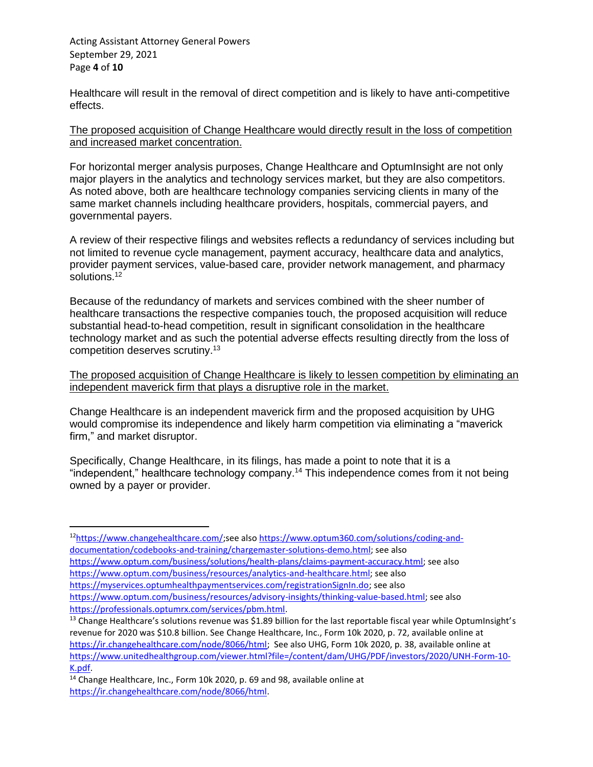Acting Assistant Attorney General Powers September 29, 2021 Page **4** of **10**

Healthcare will result in the removal of direct competition and is likely to have anti-competitive effects.

The proposed acquisition of Change Healthcare would directly result in the loss of competition and increased market concentration.

For horizontal merger analysis purposes, Change Healthcare and OptumInsight are not only major players in the analytics and technology services market, but they are also competitors. As noted above, both are healthcare technology companies servicing clients in many of the same market channels including healthcare providers, hospitals, commercial payers, and governmental payers.

A review of their respective filings and websites reflects a redundancy of services including but not limited to revenue cycle management, payment accuracy, healthcare data and analytics, provider payment services, value-based care, provider network management, and pharmacy solutions.<sup>12</sup>

Because of the redundancy of markets and services combined with the sheer number of healthcare transactions the respective companies touch, the proposed acquisition will reduce substantial head-to-head competition, result in significant consolidation in the healthcare technology market and as such the potential adverse effects resulting directly from the loss of competition deserves scrutiny.<sup>13</sup>

The proposed acquisition of Change Healthcare is likely to lessen competition by eliminating an independent maverick firm that plays a disruptive role in the market.

Change Healthcare is an independent maverick firm and the proposed acquisition by UHG would compromise its independence and likely harm competition via eliminating a "maverick firm," and market disruptor.

Specifically, Change Healthcare, in its filings, has made a point to note that it is a "independent," healthcare technology company.<sup>14</sup> This independence comes from it not being owned by a payer or provider.

<sup>12</sup>[https://www.changehealthcare.com/;](https://www.changehealthcare.com/)see also [https://www.optum360.com/solutions/coding-and](https://www.optum360.com/solutions/coding-and-documentation/codebooks-and-training/chargemaster-solutions-demo.html)[documentation/codebooks-and-training/chargemaster-solutions-demo.html;](https://www.optum360.com/solutions/coding-and-documentation/codebooks-and-training/chargemaster-solutions-demo.html) see also [https://www.optum.com/business/solutions/health-plans/claims-payment-accuracy.html;](https://www.optum.com/business/solutions/health-plans/claims-payment-accuracy.html) see also [https://www.optum.com/business/resources/analytics-and-healthcare.html;](https://www.optum.com/business/resources/analytics-and-healthcare.html) see also [https://myservices.optumhealthpaymentservices.com/registrationSignIn.do;](https://myservices.optumhealthpaymentservices.com/registrationSignIn.do) see also

[https://www.optum.com/business/resources/advisory-insights/thinking-value-based.html;](https://www.optum.com/business/resources/advisory-insights/thinking-value-based.html) see also [https://professionals.optumrx.com/services/pbm.html.](https://professionals.optumrx.com/services/pbm.html)

<sup>&</sup>lt;sup>13</sup> Change Healthcare's solutions revenue was \$1.89 billion for the last reportable fiscal year while OptumInsight's revenue for 2020 was \$10.8 billion. See Change Healthcare, Inc., Form 10k 2020, p. 72, available online at [https://ir.changehealthcare.com/node/8066/html;](https://ir.changehealthcare.com/node/8066/html) See also UHG, Form 10k 2020, p. 38, available online at [https://www.unitedhealthgroup.com/viewer.html?file=/content/dam/UHG/PDF/investors/2020/UNH-Form-10-](https://www.unitedhealthgroup.com/viewer.html?file=/content/dam/UHG/PDF/investors/2020/UNH-Form-10-K.pdf) [K.pdf.](https://www.unitedhealthgroup.com/viewer.html?file=/content/dam/UHG/PDF/investors/2020/UNH-Form-10-K.pdf) 

<sup>&</sup>lt;sup>14</sup> Change Healthcare, Inc., Form 10k 2020, p. 69 and 98, available online at [https://ir.changehealthcare.com/node/8066/html.](https://ir.changehealthcare.com/node/8066/html)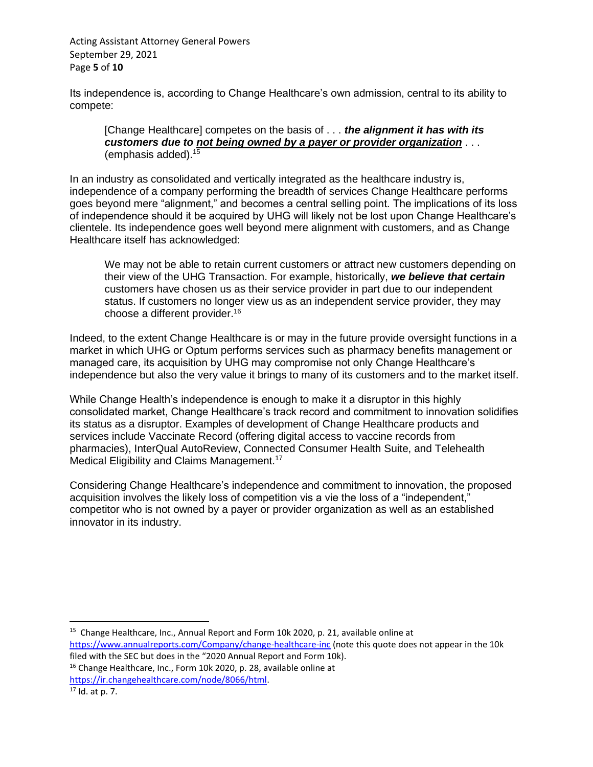Acting Assistant Attorney General Powers September 29, 2021 Page **5** of **10**

Its independence is, according to Change Healthcare's own admission, central to its ability to compete:

[Change Healthcare] competes on the basis of . . . *the alignment it has with its customers due to not being owned by a payer or provider organization* . . . (emphasis added).<sup>15</sup>

In an industry as consolidated and vertically integrated as the healthcare industry is, independence of a company performing the breadth of services Change Healthcare performs goes beyond mere "alignment," and becomes a central selling point. The implications of its loss of independence should it be acquired by UHG will likely not be lost upon Change Healthcare's clientele. Its independence goes well beyond mere alignment with customers, and as Change Healthcare itself has acknowledged:

We may not be able to retain current customers or attract new customers depending on their view of the UHG Transaction. For example, historically, *we believe that certain*  customers have chosen us as their service provider in part due to our independent status. If customers no longer view us as an independent service provider, they may choose a different provider.<sup>16</sup>

Indeed, to the extent Change Healthcare is or may in the future provide oversight functions in a market in which UHG or Optum performs services such as pharmacy benefits management or managed care, its acquisition by UHG may compromise not only Change Healthcare's independence but also the very value it brings to many of its customers and to the market itself.

While Change Health's independence is enough to make it a disruptor in this highly consolidated market, Change Healthcare's track record and commitment to innovation solidifies its status as a disruptor. Examples of development of Change Healthcare products and services include Vaccinate Record (offering digital access to vaccine records from pharmacies), InterQual AutoReview, Connected Consumer Health Suite, and Telehealth Medical Eligibility and Claims Management.<sup>17</sup>

Considering Change Healthcare's independence and commitment to innovation, the proposed acquisition involves the likely loss of competition vis a vie the loss of a "independent," competitor who is not owned by a payer or provider organization as well as an established innovator in its industry.

<sup>&</sup>lt;sup>15</sup> Change Healthcare, Inc., Annual Report and Form 10k 2020, p. 21, available online at <https://www.annualreports.com/Company/change-healthcare-inc> (note this quote does not appear in the 10k

filed with the SEC but does in the "2020 Annual Report and Form 10k). <sup>16</sup> Change Healthcare, Inc., Form 10k 2020, p. 28, available online at [https://ir.changehealthcare.com/node/8066/html.](https://ir.changehealthcare.com/node/8066/html)

 $17$  Id. at p. 7.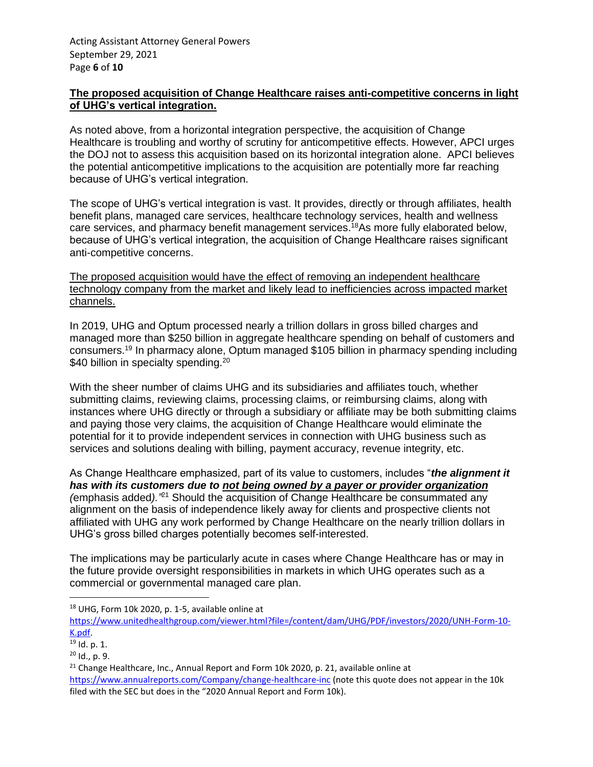## **The proposed acquisition of Change Healthcare raises anti-competitive concerns in light of UHG's vertical integration.**

As noted above, from a horizontal integration perspective, the acquisition of Change Healthcare is troubling and worthy of scrutiny for anticompetitive effects. However, APCI urges the DOJ not to assess this acquisition based on its horizontal integration alone. APCI believes the potential anticompetitive implications to the acquisition are potentially more far reaching because of UHG's vertical integration.

The scope of UHG's vertical integration is vast. It provides, directly or through affiliates, health benefit plans, managed care services, healthcare technology services, health and wellness care services, and pharmacy benefit management services. <sup>18</sup>As more fully elaborated below, because of UHG's vertical integration, the acquisition of Change Healthcare raises significant anti-competitive concerns.

The proposed acquisition would have the effect of removing an independent healthcare technology company from the market and likely lead to inefficiencies across impacted market channels.

In 2019, UHG and Optum processed nearly a trillion dollars in gross billed charges and managed more than \$250 billion in aggregate healthcare spending on behalf of customers and consumers.<sup>19</sup> In pharmacy alone, Optum managed \$105 billion in pharmacy spending including \$40 billion in specialty spending.<sup>20</sup>

With the sheer number of claims UHG and its subsidiaries and affiliates touch, whether submitting claims, reviewing claims, processing claims, or reimbursing claims, along with instances where UHG directly or through a subsidiary or affiliate may be both submitting claims and paying those very claims, the acquisition of Change Healthcare would eliminate the potential for it to provide independent services in connection with UHG business such as services and solutions dealing with billing, payment accuracy, revenue integrity, etc.

As Change Healthcare emphasized, part of its value to customers, includes "*the alignment it has with its customers due to not being owned by a payer or provider organization (*emphasis added*)."*<sup>21</sup> Should the acquisition of Change Healthcare be consummated any alignment on the basis of independence likely away for clients and prospective clients not affiliated with UHG any work performed by Change Healthcare on the nearly trillion dollars in UHG's gross billed charges potentially becomes self-interested.

The implications may be particularly acute in cases where Change Healthcare has or may in the future provide oversight responsibilities in markets in which UHG operates such as a commercial or governmental managed care plan.

<sup>18</sup> UHG, Form 10k 2020, p. 1-5, available online at

[https://www.unitedhealthgroup.com/viewer.html?file=/content/dam/UHG/PDF/investors/2020/UNH-Form-10-](https://www.unitedhealthgroup.com/viewer.html?file=/content/dam/UHG/PDF/investors/2020/UNH-Form-10-K.pdf) [K.pdf.](https://www.unitedhealthgroup.com/viewer.html?file=/content/dam/UHG/PDF/investors/2020/UNH-Form-10-K.pdf)

<sup>19</sup> Id. p. 1.

 $20$  Id., p. 9.

 $21$  Change Healthcare, Inc., Annual Report and Form 10k 2020, p. 21, available online at <https://www.annualreports.com/Company/change-healthcare-inc> (note this quote does not appear in the 10k filed with the SEC but does in the "2020 Annual Report and Form 10k).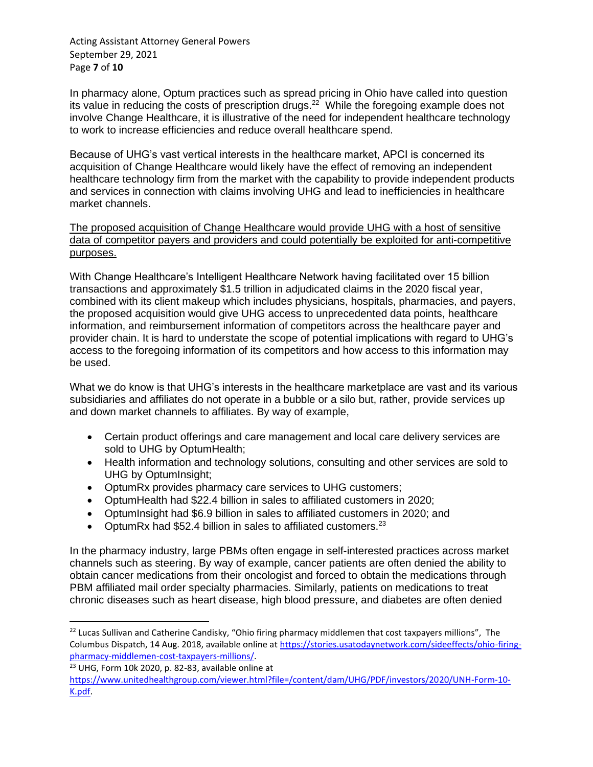Acting Assistant Attorney General Powers September 29, 2021 Page **7** of **10**

In pharmacy alone, Optum practices such as spread pricing in Ohio have called into question its value in reducing the costs of prescription drugs.<sup>22</sup> While the foregoing example does not involve Change Healthcare, it is illustrative of the need for independent healthcare technology to work to increase efficiencies and reduce overall healthcare spend.

Because of UHG's vast vertical interests in the healthcare market, APCI is concerned its acquisition of Change Healthcare would likely have the effect of removing an independent healthcare technology firm from the market with the capability to provide independent products and services in connection with claims involving UHG and lead to inefficiencies in healthcare market channels.

The proposed acquisition of Change Healthcare would provide UHG with a host of sensitive data of competitor payers and providers and could potentially be exploited for anti-competitive purposes.

With Change Healthcare's Intelligent Healthcare Network having facilitated over 15 billion transactions and approximately \$1.5 trillion in adjudicated claims in the 2020 fiscal year, combined with its client makeup which includes physicians, hospitals, pharmacies, and payers, the proposed acquisition would give UHG access to unprecedented data points, healthcare information, and reimbursement information of competitors across the healthcare payer and provider chain. It is hard to understate the scope of potential implications with regard to UHG's access to the foregoing information of its competitors and how access to this information may be used.

What we do know is that UHG's interests in the healthcare marketplace are vast and its various subsidiaries and affiliates do not operate in a bubble or a silo but, rather, provide services up and down market channels to affiliates. By way of example,

- Certain product offerings and care management and local care delivery services are sold to UHG by OptumHealth;
- Health information and technology solutions, consulting and other services are sold to UHG by OptumInsight;
- OptumRx provides pharmacy care services to UHG customers;
- OptumHealth had \$22.4 billion in sales to affiliated customers in 2020;
- OptumInsight had \$6.9 billion in sales to affiliated customers in 2020; and
- OptumRx had \$52.4 billion in sales to affiliated customers.<sup>23</sup>

In the pharmacy industry, large PBMs often engage in self-interested practices across market channels such as steering. By way of example, cancer patients are often denied the ability to obtain cancer medications from their oncologist and forced to obtain the medications through PBM affiliated mail order specialty pharmacies. Similarly, patients on medications to treat chronic diseases such as heart disease, high blood pressure, and diabetes are often denied

<sup>&</sup>lt;sup>22</sup> Lucas Sullivan and Catherine Candisky, "Ohio firing pharmacy middlemen that cost taxpayers millions", The Columbus Dispatch, 14 Aug. 2018, available online at [https://stories.usatodaynetwork.com/sideeffects/ohio-firing](https://stories.usatodaynetwork.com/sideeffects/ohio-firing-pharmacy-middlemen-cost-taxpayers-millions/)[pharmacy-middlemen-cost-taxpayers-millions/.](https://stories.usatodaynetwork.com/sideeffects/ohio-firing-pharmacy-middlemen-cost-taxpayers-millions/)

<sup>23</sup> UHG, Form 10k 2020, p. 82-83, available online at

[https://www.unitedhealthgroup.com/viewer.html?file=/content/dam/UHG/PDF/investors/2020/UNH-Form-10-](https://www.unitedhealthgroup.com/viewer.html?file=/content/dam/UHG/PDF/investors/2020/UNH-Form-10-K.pdf) [K.pdf.](https://www.unitedhealthgroup.com/viewer.html?file=/content/dam/UHG/PDF/investors/2020/UNH-Form-10-K.pdf)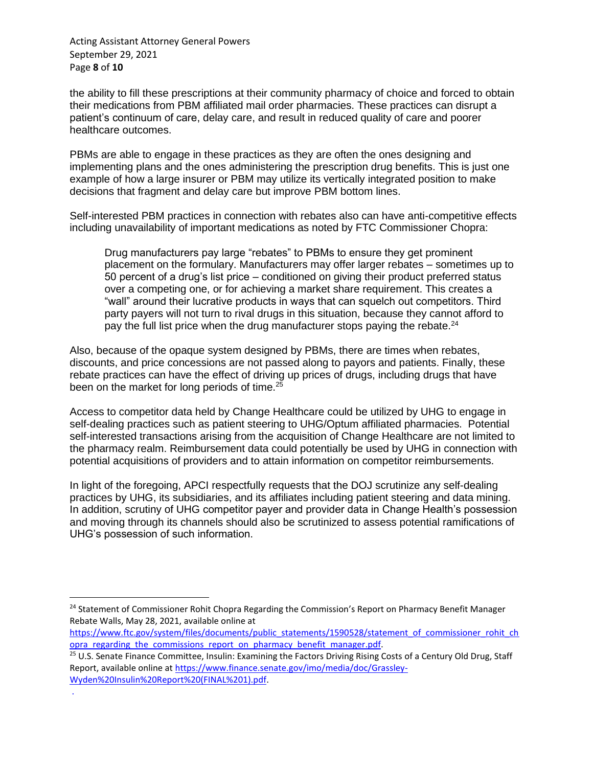Acting Assistant Attorney General Powers September 29, 2021 Page **8** of **10**

.

the ability to fill these prescriptions at their community pharmacy of choice and forced to obtain their medications from PBM affiliated mail order pharmacies. These practices can disrupt a patient's continuum of care, delay care, and result in reduced quality of care and poorer healthcare outcomes.

PBMs are able to engage in these practices as they are often the ones designing and implementing plans and the ones administering the prescription drug benefits. This is just one example of how a large insurer or PBM may utilize its vertically integrated position to make decisions that fragment and delay care but improve PBM bottom lines.

Self-interested PBM practices in connection with rebates also can have anti-competitive effects including unavailability of important medications as noted by FTC Commissioner Chopra:

Drug manufacturers pay large "rebates" to PBMs to ensure they get prominent placement on the formulary. Manufacturers may offer larger rebates – sometimes up to 50 percent of a drug's list price – conditioned on giving their product preferred status over a competing one, or for achieving a market share requirement. This creates a "wall" around their lucrative products in ways that can squelch out competitors. Third party payers will not turn to rival drugs in this situation, because they cannot afford to pay the full list price when the drug manufacturer stops paying the rebate.<sup>24</sup>

Also, because of the opaque system designed by PBMs, there are times when rebates, discounts, and price concessions are not passed along to payors and patients. Finally, these rebate practices can have the effect of driving up prices of drugs, including drugs that have been on the market for long periods of time.<sup>25</sup>

Access to competitor data held by Change Healthcare could be utilized by UHG to engage in self-dealing practices such as patient steering to UHG/Optum affiliated pharmacies. Potential self-interested transactions arising from the acquisition of Change Healthcare are not limited to the pharmacy realm. Reimbursement data could potentially be used by UHG in connection with potential acquisitions of providers and to attain information on competitor reimbursements.

In light of the foregoing, APCI respectfully requests that the DOJ scrutinize any self-dealing practices by UHG, its subsidiaries, and its affiliates including patient steering and data mining. In addition, scrutiny of UHG competitor payer and provider data in Change Health's possession and moving through its channels should also be scrutinized to assess potential ramifications of UHG's possession of such information.

<sup>&</sup>lt;sup>24</sup> Statement of Commissioner Rohit Chopra Regarding the Commission's Report on Pharmacy Benefit Manager Rebate Walls, May 28, 2021, available online at

[https://www.ftc.gov/system/files/documents/public\\_statements/1590528/statement\\_of\\_commissioner\\_rohit\\_ch](https://www.ftc.gov/system/files/documents/public_statements/1590528/statement_of_commissioner_rohit_chopra_regarding_the_commissions_report_on_pharmacy_benefit_manager.pdf) opra regarding the commissions report on pharmacy benefit manager.pdf.

<sup>&</sup>lt;sup>25</sup> U.S. Senate Finance Committee, Insulin: Examining the Factors Driving Rising Costs of a Century Old Drug, Staff Report, available online at [https://www.finance.senate.gov/imo/media/doc/Grassley-](https://www.finance.senate.gov/imo/media/doc/Grassley-Wyden%20Insulin%20Report%20(FINAL%201).pdf)[Wyden%20Insulin%20Report%20\(FINAL%201\).pdf.](https://www.finance.senate.gov/imo/media/doc/Grassley-Wyden%20Insulin%20Report%20(FINAL%201).pdf)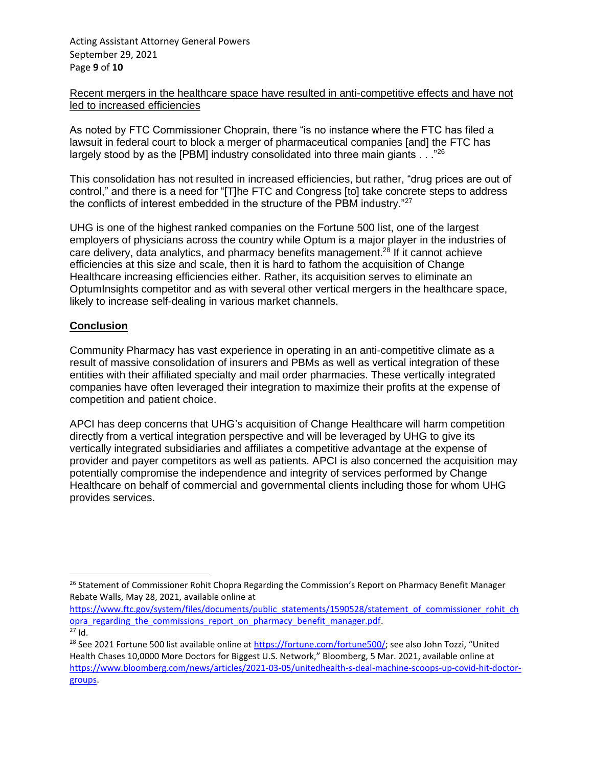Acting Assistant Attorney General Powers September 29, 2021 Page **9** of **10**

### Recent mergers in the healthcare space have resulted in anti-competitive effects and have not led to increased efficiencies

As noted by FTC Commissioner Choprain, there "is no instance where the FTC has filed a lawsuit in federal court to block a merger of pharmaceutical companies [and] the FTC has largely stood by as the [PBM] industry consolidated into three main giants  $\ldots$ <sup>"26</sup>

This consolidation has not resulted in increased efficiencies, but rather, "drug prices are out of control," and there is a need for "[T]he FTC and Congress [to] take concrete steps to address the conflicts of interest embedded in the structure of the PBM industry."<sup>27</sup>

UHG is one of the highest ranked companies on the Fortune 500 list, one of the largest employers of physicians across the country while Optum is a major player in the industries of care delivery, data analytics, and pharmacy benefits management.<sup>28</sup> If it cannot achieve efficiencies at this size and scale, then it is hard to fathom the acquisition of Change Healthcare increasing efficiencies either. Rather, its acquisition serves to eliminate an OptumInsights competitor and as with several other vertical mergers in the healthcare space, likely to increase self-dealing in various market channels.

## **Conclusion**

Community Pharmacy has vast experience in operating in an anti-competitive climate as a result of massive consolidation of insurers and PBMs as well as vertical integration of these entities with their affiliated specialty and mail order pharmacies. These vertically integrated companies have often leveraged their integration to maximize their profits at the expense of competition and patient choice.

APCI has deep concerns that UHG's acquisition of Change Healthcare will harm competition directly from a vertical integration perspective and will be leveraged by UHG to give its vertically integrated subsidiaries and affiliates a competitive advantage at the expense of provider and payer competitors as well as patients. APCI is also concerned the acquisition may potentially compromise the independence and integrity of services performed by Change Healthcare on behalf of commercial and governmental clients including those for whom UHG provides services.

<sup>&</sup>lt;sup>26</sup> Statement of Commissioner Rohit Chopra Regarding the Commission's Report on Pharmacy Benefit Manager Rebate Walls, May 28, 2021, available online at

[https://www.ftc.gov/system/files/documents/public\\_statements/1590528/statement\\_of\\_commissioner\\_rohit\\_ch](https://www.ftc.gov/system/files/documents/public_statements/1590528/statement_of_commissioner_rohit_chopra_regarding_the_commissions_report_on_pharmacy_benefit_manager.pdf) opra regarding the commissions report on pharmacy benefit manager.pdf.  $27$  Id.

<sup>&</sup>lt;sup>28</sup> See 2021 Fortune 500 list available online at <https://fortune.com/fortune500/>; see also John Tozzi, "United Health Chases 10,0000 More Doctors for Biggest U.S. Network," Bloomberg, 5 Mar. 2021, available online at [https://www.bloomberg.com/news/articles/2021-03-05/unitedhealth-s-deal-machine-scoops-up-covid-hit-doctor](https://www.bloomberg.com/news/articles/2021-03-05/unitedhealth-s-deal-machine-scoops-up-covid-hit-doctor-groups)[groups.](https://www.bloomberg.com/news/articles/2021-03-05/unitedhealth-s-deal-machine-scoops-up-covid-hit-doctor-groups)